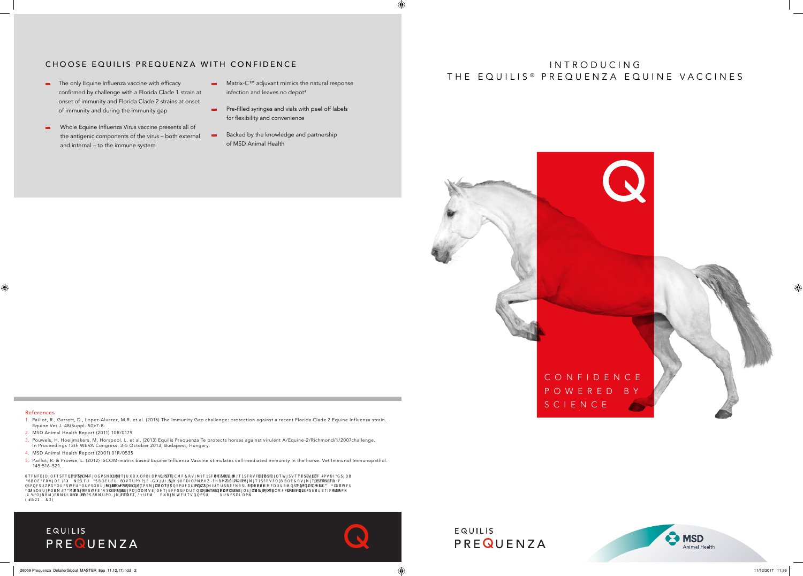

# I N T R O D U C I N G THE EQUILIS<sup>®</sup> PREQUENZA EQUINE VACCINES

#### References

 $\bigoplus$ 

- 1. Paillot, R., Garrett, D., Lopez-Alvarez, M.R. et al. (2016) The Immunity Gap challenge: protection against a recent Florida Clade 2 Equine Influenza strain. Equine Vet J. 48(Suppl. 50):7-8.
- 2. MSD Animal Health Report (2011) 10R/0179
- 3. Pouwels, H. Hoeijmakers, M, Horspool, L. et al. (2013) Equilis Prequenza Te protects horses against virulent A/Equine-2/Richmond/1/2007challenge. In Proceedings 13th WEVA Congress, 3-5 October 2013, Budapest, Hungary.
- 4. MSD Animal Health Report (2001) 01R/0535
- 5. Paillot, R. & Prowse, L. (2012) ISCOM-matrix based Equine Influenza Vaccine stimulates cell-mediated immunity in the horse. Vet Immunol Immunopathol. 145:516-521.

8 TERIEBODBOET RETO**MBRAKHO**OG PSNADOZTED MOPBADE TA ET OTEKTA BLAVENITA S<del>KO</del>RROM ET A SERVEDRAB BEOTREST A PROVAT BROVED BODDESED BA<br>S BOETROGOFITE POD BRODUSO BOET DE OTEKTO TOTTEL MOTHOLICO MORTO TO PROVAT PROVAT DE NA **73 %DJNBMTFBMUISBEDDDDBSEBMUPO FSEBMUFO FATTUFM EMBANDE ARBANDIT TO DET TO DET TO DET TO DET TO DET TO DET TO**  $(2.21)$   $(2.21)$   $(2.21)$   $(2.21)$   $(2.21)$   $(2.21)$   $(2.21)$   $(2.21)$   $(2.21)$   $(2.21)$   $(2.21)$   $(2.21)$   $(2.21)$   $(2.21)$   $(2.21)$   $(2.21)$   $(2.21)$   $(2.21)$   $(2.21)$   $(2.21)$   $(2.21)$   $(2.21)$   $(2.21)$   $(2.21)$   $(2.2$ 

# EQUILIS PREQUENZA



EQUILIS PREQUENZA



- **Pre-filled syringes and vials with peel off labels** for flexibility and convenience
- Backed by the knowledge and partnership of MSD Animal Health

# CHOOSE EQUILIS PREQUENZA WITH CONFIDENCE

- The only Equine Influenza vaccine with efficacy confirmed by challenge with a Florida Clade 1 strain at onset of immunity and Florida Clade 2 strains at onset of immunity and during the immunity gap
- Whole Equine Influenza Virus vaccine presents all of the antigenic components of the virus – both external and internal – to the immune system
- Matrix-C™ adjuvant mimics the natural response infection and leaves no depot<sup>4</sup>

 $\bigoplus$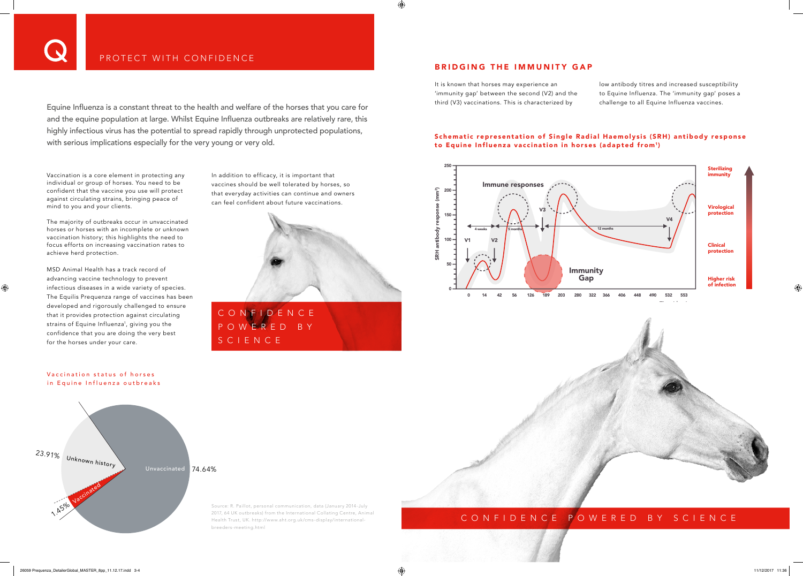$\bigoplus$ 



Equine Influenza is a constant threat to the health and welfare of the horses that you care for and the equine population at large. Whilst Equine Influenza outbreaks are relatively rare, this highly infectious virus has the potential to spread rapidly through unprotected populations, with serious implications especially for the very young or very old.

Vaccination is a core element in protecting any individual or group of horses. You need to be confident that the vaccine you use will protect against circulating strains, bringing peace of mind to you and your clients.

#### Schematic representation of Single Radial Haemolysis (SRH) antibody response to Equine Influenza vaccination in horses (adapted from1)

The majority of outbreaks occur in unvaccinated horses or horses with an incomplete or unknown vaccination history; this highlights the need to focus efforts on increasing vaccination rates to achieve herd protection.

#### Vaccination status of horses in Equine Influenza outbreaks

MSD Animal Health has a track record of advancing vaccine technology to prevent infectious diseases in a wide variety of species. The Equilis Prequenza range of vaccines has been developed and rigorously challenged to ensure that it provides protection against circulating strains of Equine Influenza<sup>1</sup>, giving you the confidence that you are doing the very best for the horses under your care.

It is known that horses may experience an 'immunity gap' between the second (V2) and the third (V3) vaccinations. This is characterized by

#### BRIDGING THE IMMUNITY GAP

4)

low antibody titres and increased susceptibility to Equine Influenza. The 'immunity gap' poses a challenge to all Equine Influenza vaccines.

|  |  |  |  |  |  |  |  | WERED BY SCIENCE |  |  |  |  |  |  |
|--|--|--|--|--|--|--|--|------------------|--|--|--|--|--|--|
|--|--|--|--|--|--|--|--|------------------|--|--|--|--|--|--|

In addition to efficacy, it is important that vaccines should be well tolerated by horses, so that everyday activities can continue and owners can feel confident about future vaccinations.

![](_page_1_Picture_7.jpeg)

# CONFIDENCE POWERED BY SCIENCE

Source: R. Paillot, personal communication, data (January 2014-July 2017, 64 UK outbreaks) from the International Collating Centre, Animal Health Trust, UK. http://www.aht.org.uk/cms-display/internationalbreeders-meeting.html

# CONFIDENCE POW

![](_page_1_Figure_14.jpeg)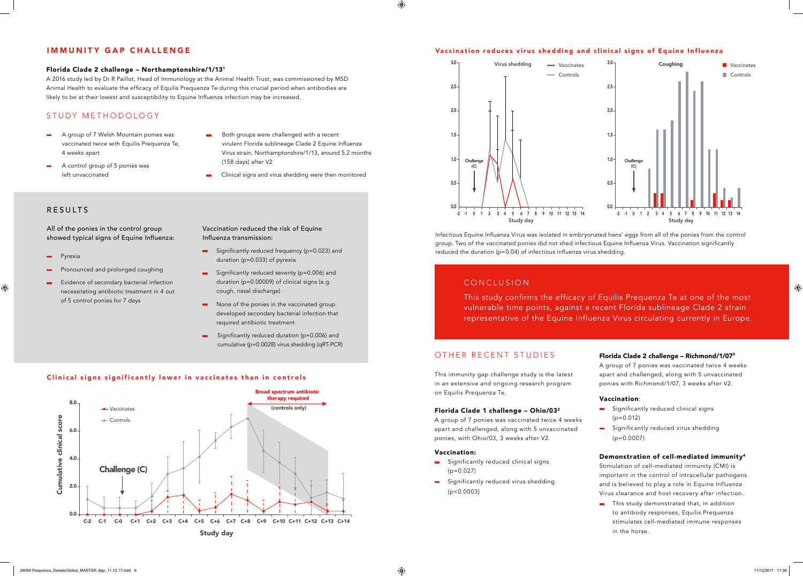![](_page_2_Figure_22.jpeg)

![](_page_2_Figure_34.jpeg)

## OTHER RECENT STUDIES

- Significantly reduced clinical signs  $(p=0.027)$
- Significantly reduced virus shedding (p<0.0003)

This immunity gap challenge study is the latest in an extensive and ongoing research program on Equilis Prequenza Te.

#### Florida Clade 1 challenge – Ohio/032

A group of 7 ponies was vaccinated twice 4 weeks apart and challenged, along with 5 unvaccinated ponies, with Ohio/03, 3 weeks after V2.

#### Vaccination:

**This study demonstrated that, in addition** to antibody responses, Equilis Prequenza stimulates cell-mediated immune responses in the horse.

 $\bigoplus$ 

#### Florida Clade 2 challenge – Richmond/1/073

A group of 7 ponies was vaccinated twice 4 weeks apart and challenged, along with 5 unvaccinated ponies with Richmond/1/07, 3 weeks after V2.

#### Vaccination:

- Significantly reduced clinical signs  $(p=0.012)$
- Significantly reduced virus shedding  $(p=0.0007)$
- A group of 7 Welsh Mountain ponies was vaccinated twice with Equilis Prequenza Te, 4 weeks apart
- A control group of 5 ponies was left unvaccinated
- Both groups were challenged with a recent virulent Florida sublineage Clade 2 Equine Influenza Virus strain, Northamptonshire/1/13, around 5.2 months (158 days) after V2
- Clinical signs and virus shedding were then monitored

#### Demonstration of cell-mediated immunity4

Stimulation of cell-mediated immunity (CMI) is important in the control of intracellular pathogens and is believed to play a role in Equine Influenza Virus clearance and host recovery after infection.

## CONCLUSION

This study confirms the efficacy of Equilis Prequenza Te at one of the most vulnerable time points, against a recent Florida sublineage Clade 2 strain representative of the Equine Influenza Virus circulating currently in Europe.

# STUDY METHODOLOGY

#### Clinical signs significantly lower in vaccinates than in controls

![](_page_2_Figure_20.jpeg)

- Significantly reduced frequency (p=0.023) and duration (p=0.033) of pyrexia
- Significantly reduced severity (p=0.006) and duration (p=0.00009) of clinical signs (e.g. cough, nasal discharge)
- None of the ponies in the vaccinated group developed secondary bacterial infection that required antibiotic treatment
- Significantly reduced duration (p=0.006) and cumulative (p=0.0028) virus shedding (qRT-PCR)

#### Florida Clade 2 challenge – Northamptonshire/1/131

A 2016 study led by Dr R Paillot, Head of Immunology at the Animal Health Trust, was commissioned by MSD Animal Health to evaluate the efficacy of Equilis Prequenza Te during this crucial period when antibodies are likely to be at their lowest and susceptibility to Equine Influenza infection may be increased.

#### Vaccination reduces virus shedding and clinical signs of Equine Influenza

4)

# Infectious Equine Influenza Virus was isolated in embryonated hens' eggs from all of the ponies from the control

group. Two of the vaccinated ponies did not shed infectious Equine Influenza Virus. Vaccination significantly reduced the duration (p=0.04) of infectious influenza virus shedding.

## IMMUNITY GAP CHALLENGE

### RESULTS

All of the ponies in the control group showed typical signs of Equine Influenza:

**Pyrexia** 

 $\bigoplus$ 

- Pronounced and prolonged coughing
- **Evidence of secondary bacterial infection** necessitating antibiotic treatment in 4 out of 5 control ponies for 7 days

# Vaccination reduced the risk of Equine

Influenza transmission: